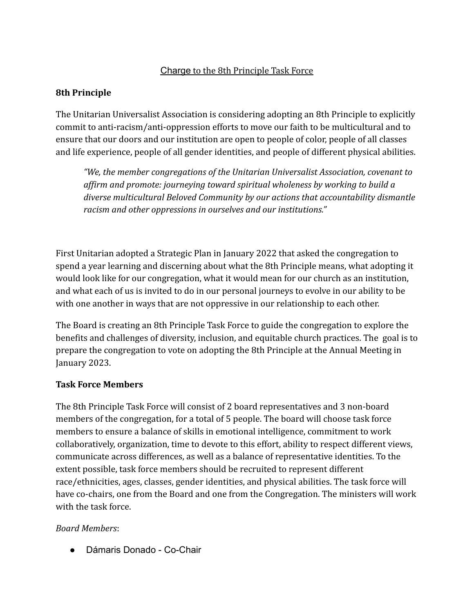#### Charge to the 8th Principle Task Force

#### **8th Principle**

The Unitarian Universalist Association is considering adopting an 8th Principle to explicitly commit to anti-racism/anti-oppression efforts to move our faith to be multicultural and to ensure that our doors and our institution are open to people of color, people of all classes and life experience, people of all gender identities, and people of different physical abilities.

*"We, the member congregations of the Unitarian Universalist Association, covenant to affirm and promote: journeying toward spiritual wholeness by working to build a diverse multicultural Beloved Community by our actions that accountability dismantle racism and other oppressions in ourselves and our institutions."*

First Unitarian adopted a Strategic Plan in January 2022 that asked the congregation to spend a year learning and discerning about what the 8th Principle means, what adopting it would look like for our congregation, what it would mean for our church as an institution, and what each of us is invited to do in our personal journeys to evolve in our ability to be with one another in ways that are not oppressive in our relationship to each other.

The Board is creating an 8th Principle Task Force to guide the congregation to explore the benefits and challenges of diversity, inclusion, and equitable church practices. The goal is to prepare the congregation to vote on adopting the 8th Principle at the Annual Meeting in January 2023.

#### **Task Force Members**

The 8th Principle Task Force will consist of 2 board representatives and 3 non-board members of the congregation, for a total of 5 people. The board will choose task force members to ensure a balance of skills in emotional intelligence, commitment to work collaboratively, organization, time to devote to this effort, ability to respect different views, communicate across differences, as well as a balance of representative identities. To the extent possible, task force members should be recruited to represent different race/ethnicities, ages, classes, gender identities, and physical abilities. The task force will have co-chairs, one from the Board and one from the Congregation. The ministers will work with the task force.

#### *Board Members*:

● Dámaris Donado - Co-Chair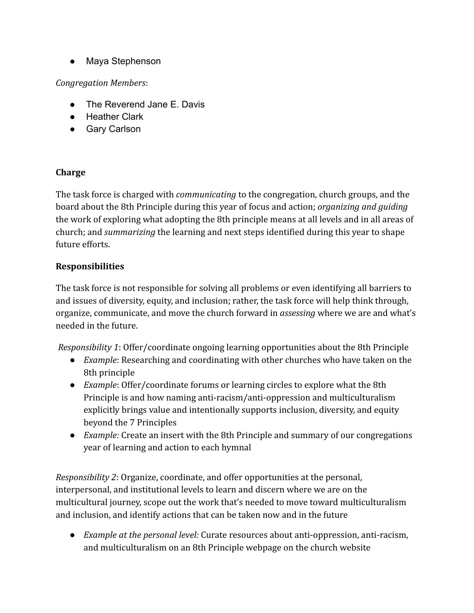● Maya Stephenson

#### *Congregation Members*:

- The Reverend Jane E. Davis
- Heather Clark
- Gary Carlson

#### **Charge**

The task force is charged with *communicating* to the congregation, church groups, and the board about the 8th Principle during this year of focus and action; *organizing and guiding* the work of exploring what adopting the 8th principle means at all levels and in all areas of church; and *summarizing* the learning and next steps identified during this year to shape future efforts.

### **Responsibilities**

The task force is not responsible for solving all problems or even identifying all barriers to and issues of diversity, equity, and inclusion; rather, the task force will help think through, organize, communicate, and move the church forward in *assessing* where we are and what's needed in the future.

*Responsibility 1*: Offer/coordinate ongoing learning opportunities about the 8th Principle

- *Example*: Researching and coordinating with other churches who have taken on the 8th principle
- *Example*: Offer/coordinate forums or learning circles to explore what the 8th Principle is and how naming anti-racism/anti-oppression and multiculturalism explicitly brings value and intentionally supports inclusion, diversity, and equity beyond the 7 Principles
- *Example:* Create an insert with the 8th Principle and summary of our congregations year of learning and action to each hymnal

*Responsibility 2*: Organize, coordinate, and offer opportunities at the personal, interpersonal, and institutional levels to learn and discern where we are on the multicultural journey, scope out the work that's needed to move toward multiculturalism and inclusion, and identify actions that can be taken now and in the future

● *Example at the personal level:* Curate resources about anti-oppression, anti-racism, and multiculturalism on an 8th Principle webpage on the church website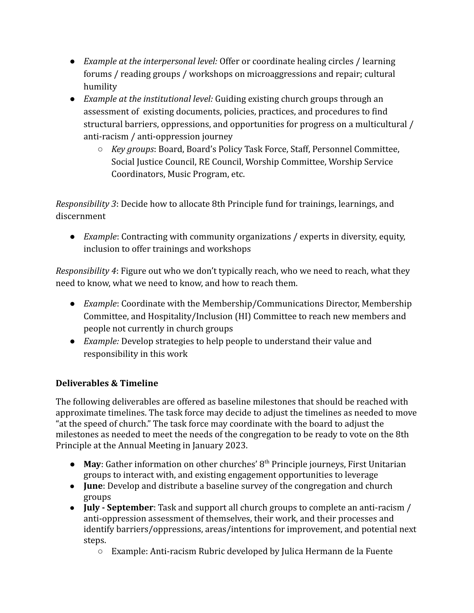- *Example at the interpersonal level:* Offer or coordinate healing circles / learning forums / reading groups / workshops on microaggressions and repair; cultural humility
- *Example at the institutional level:* Guiding existing church groups through an assessment of existing documents, policies, practices, and procedures to find structural barriers, oppressions, and opportunities for progress on a multicultural / anti-racism / anti-oppression journey
	- *Key groups*: Board, Board's Policy Task Force, Staff, Personnel Committee, Social Justice Council, RE Council, Worship Committee, Worship Service Coordinators, Music Program, etc.

*Responsibility 3*: Decide how to allocate 8th Principle fund for trainings, learnings, and discernment

● *Example*: Contracting with community organizations / experts in diversity, equity, inclusion to offer trainings and workshops

*Responsibility 4*: Figure out who we don't typically reach, who we need to reach, what they need to know, what we need to know, and how to reach them.

- *Example*: Coordinate with the Membership/Communications Director, Membership Committee, and Hospitality/Inclusion (HI) Committee to reach new members and people not currently in church groups
- *Example:* Develop strategies to help people to understand their value and responsibility in this work

## **Deliverables & Timeline**

The following deliverables are offered as baseline milestones that should be reached with approximate timelines. The task force may decide to adjust the timelines as needed to move "at the speed of church." The task force may coordinate with the board to adjust the milestones as needed to meet the needs of the congregation to be ready to vote on the 8th Principle at the Annual Meeting in January 2023.

- **May**: Gather information on other churches' 8<sup>th</sup> Principle journeys, First Unitarian groups to interact with, and existing engagement opportunities to leverage
- **June**: Develop and distribute a baseline survey of the congregation and church groups
- **July September**: Task and support all church groups to complete an anti-racism / anti-oppression assessment of themselves, their work, and their processes and identify barriers/oppressions, areas/intentions for improvement, and potential next steps.
	- Example: Anti-racism Rubric developed by Julica Hermann de la Fuente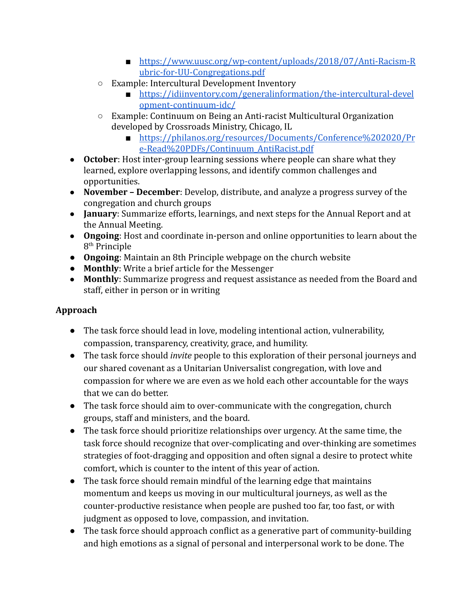- [https://www.uusc.org/wp-content/uploads/2018/07/Anti-Racism-R](https://www.uusc.org/wp-content/uploads/2018/07/Anti-Racism-Rubric-for-UU-Congregations.pdf) [ubric-for-UU-Congregations.pdf](https://www.uusc.org/wp-content/uploads/2018/07/Anti-Racism-Rubric-for-UU-Congregations.pdf)
- Example: Intercultural Development Inventory
	- [https://idiinventory.com/generalinformation/the-intercultural-devel](https://idiinventory.com/generalinformation/the-intercultural-development-continuum-idc/) [opment-continuum-idc/](https://idiinventory.com/generalinformation/the-intercultural-development-continuum-idc/)
- Example: Continuum on Being an Anti-racist Multicultural Organization developed by Crossroads Ministry, Chicago, IL
	- [https://philanos.org/resources/Documents/Conference%202020/Pr](https://philanos.org/resources/Documents/Conference%202020/Pre-Read%20PDFs/Continuum_AntiRacist.pdf) [e-Read%20PDFs/Continuum\\_AntiRacist.pdf](https://philanos.org/resources/Documents/Conference%202020/Pre-Read%20PDFs/Continuum_AntiRacist.pdf)
- **October**: Host inter-group learning sessions where people can share what they learned, explore overlapping lessons, and identify common challenges and opportunities.
- **November December**: Develop, distribute, and analyze a progress survey of the congregation and church groups
- **January**: Summarize efforts, learnings, and next steps for the Annual Report and at the Annual Meeting.
- **Ongoing**: Host and coordinate in-person and online opportunities to learn about the 8 th Principle
- **Ongoing**: Maintain an 8th Principle webpage on the church website
- **Monthly**: Write a brief article for the Messenger
- **Monthly**: Summarize progress and request assistance as needed from the Board and staff, either in person or in writing

# **Approach**

- The task force should lead in love, modeling intentional action, vulnerability, compassion, transparency, creativity, grace, and humility.
- The task force should *invite* people to this exploration of their personal journeys and our shared covenant as a Unitarian Universalist congregation, with love and compassion for where we are even as we hold each other accountable for the ways that we can do better.
- The task force should aim to over-communicate with the congregation, church groups, staff and ministers, and the board.
- The task force should prioritize relationships over urgency. At the same time, the task force should recognize that over-complicating and over-thinking are sometimes strategies of foot-dragging and opposition and often signal a desire to protect white comfort, which is counter to the intent of this year of action.
- The task force should remain mindful of the learning edge that maintains momentum and keeps us moving in our multicultural journeys, as well as the counter-productive resistance when people are pushed too far, too fast, or with judgment as opposed to love, compassion, and invitation.
- The task force should approach conflict as a generative part of community-building and high emotions as a signal of personal and interpersonal work to be done. The